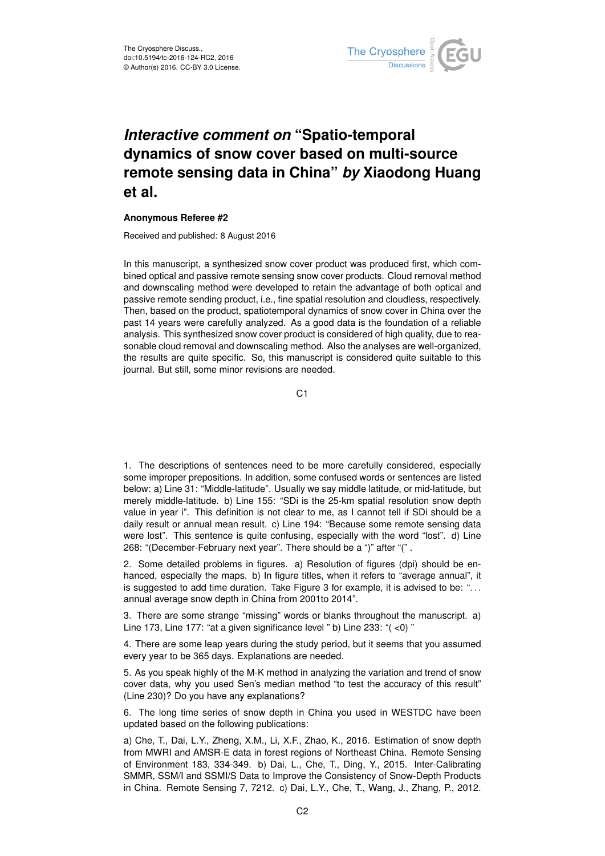

## *Interactive comment on* **"Spatio-temporal dynamics of snow cover based on multi-source remote sensing data in China"** *by* **Xiaodong Huang et al.**

## **Anonymous Referee #2**

Received and published: 8 August 2016

In this manuscript, a synthesized snow cover product was produced first, which combined optical and passive remote sensing snow cover products. Cloud removal method and downscaling method were developed to retain the advantage of both optical and passive remote sending product, i.e., fine spatial resolution and cloudless, respectively. Then, based on the product, spatiotemporal dynamics of snow cover in China over the past 14 years were carefully analyzed. As a good data is the foundation of a reliable analysis. This synthesized snow cover product is considered of high quality, due to reasonable cloud removal and downscaling method. Also the analyses are well-organized, the results are quite specific. So, this manuscript is considered quite suitable to this journal. But still, some minor revisions are needed.

C<sub>1</sub>

1. The descriptions of sentences need to be more carefully considered, especially some improper prepositions. In addition, some confused words or sentences are listed below: a) Line 31: "Middle-latitude". Usually we say middle latitude, or mid-latitude, but merely middle-latitude. b) Line 155: "SDi is the 25-km spatial resolution snow depth value in year i". This definition is not clear to me, as I cannot tell if SDi should be a daily result or annual mean result. c) Line 194: "Because some remote sensing data were lost". This sentence is quite confusing, especially with the word "lost". d) Line 268: "(December-February next year". There should be a ")" after "(" .

2. Some detailed problems in figures. a) Resolution of figures (dpi) should be enhanced, especially the maps. b) In figure titles, when it refers to "average annual", it is suggested to add time duration. Take Figure 3 for example, it is advised to be: ". . . annual average snow depth in China from 2001to 2014".

3. There are some strange "missing" words or blanks throughout the manuscript. a) Line 173, Line 177: "at a given significance level " b) Line 233: "( <0) "

4. There are some leap years during the study period, but it seems that you assumed every year to be 365 days. Explanations are needed.

5. As you speak highly of the M-K method in analyzing the variation and trend of snow cover data, why you used Sen's median method "to test the accuracy of this result" (Line 230)? Do you have any explanations?

6. The long time series of snow depth in China you used in WESTDC have been updated based on the following publications:

a) Che, T., Dai, L.Y., Zheng, X.M., Li, X.F., Zhao, K., 2016. Estimation of snow depth from MWRI and AMSR-E data in forest regions of Northeast China. Remote Sensing of Environment 183, 334-349. b) Dai, L., Che, T., Ding, Y., 2015. Inter-Calibrating SMMR, SSM/I and SSMI/S Data to Improve the Consistency of Snow-Depth Products in China. Remote Sensing 7, 7212. c) Dai, L.Y., Che, T., Wang, J., Zhang, P., 2012.